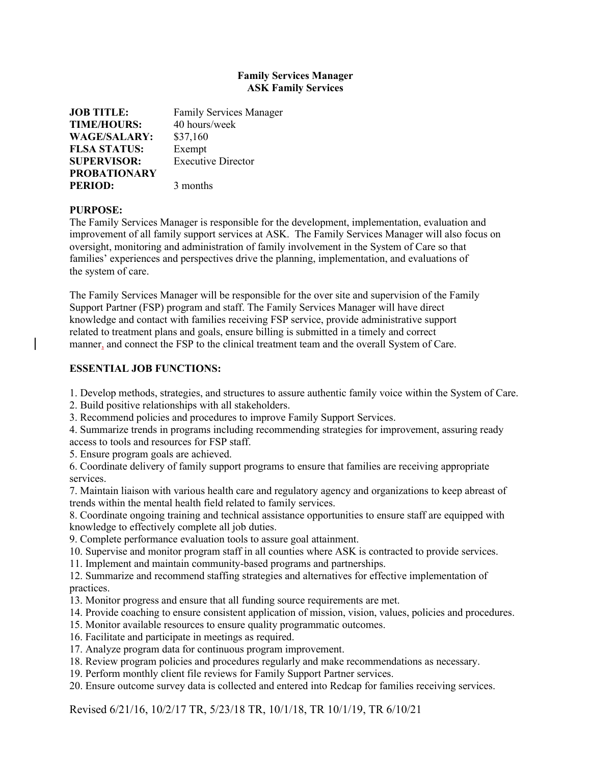## **Family Services Manager ASK Family Services**

| <b>JOB TITLE:</b>   | <b>Family Services Manager</b> |
|---------------------|--------------------------------|
| <b>TIME/HOURS:</b>  | 40 hours/week                  |
| <b>WAGE/SALARY:</b> | \$37,160                       |
| <b>FLSA STATUS:</b> | Exempt                         |
| <b>SUPERVISOR:</b>  | <b>Executive Director</b>      |
| <b>PROBATIONARY</b> |                                |
| <b>PERIOD:</b>      | 3 months                       |

## **PURPOSE:**

The Family Services Manager is responsible for the development, implementation, evaluation and improvement of all family support services at ASK. The Family Services Manager will also focus on oversight, monitoring and administration of family involvement in the System of Care so that families' experiences and perspectives drive the planning, implementation, and evaluations of the system of care.

The Family Services Manager will be responsible for the over site and supervision of the Family Support Partner (FSP) program and staff. The Family Services Manager will have direct knowledge and contact with families receiving FSP service, provide administrative support related to treatment plans and goals, ensure billing is submitted in a timely and correct manner, and connect the FSP to the clinical treatment team and the overall System of Care.

## **ESSENTIAL JOB FUNCTIONS:**

1. Develop methods, strategies, and structures to assure authentic family voice within the System of Care.

2. Build positive relationships with all stakeholders.

3. Recommend policies and procedures to improve Family Support Services.

4. Summarize trends in programs including recommending strategies for improvement, assuring ready access to tools and resources for FSP staff.

5. Ensure program goals are achieved.

6. Coordinate delivery of family support programs to ensure that families are receiving appropriate services.

7. Maintain liaison with various health care and regulatory agency and organizations to keep abreast of trends within the mental health field related to family services.

8. Coordinate ongoing training and technical assistance opportunities to ensure staff are equipped with knowledge to effectively complete all job duties.

9. Complete performance evaluation tools to assure goal attainment.

10. Supervise and monitor program staff in all counties where ASK is contracted to provide services.

11. Implement and maintain community-based programs and partnerships.

12. Summarize and recommend staffing strategies and alternatives for effective implementation of practices.

- 13. Monitor progress and ensure that all funding source requirements are met.
- 14. Provide coaching to ensure consistent application of mission, vision, values, policies and procedures.
- 15. Monitor available resources to ensure quality programmatic outcomes.
- 16. Facilitate and participate in meetings as required.
- 17. Analyze program data for continuous program improvement.
- 18. Review program policies and procedures regularly and make recommendations as necessary.
- 19. Perform monthly client file reviews for Family Support Partner services.

20. Ensure outcome survey data is collected and entered into Redcap for families receiving services.

Revised 6/21/16, 10/2/17 TR, 5/23/18 TR, 10/1/18, TR 10/1/19, TR 6/10/21